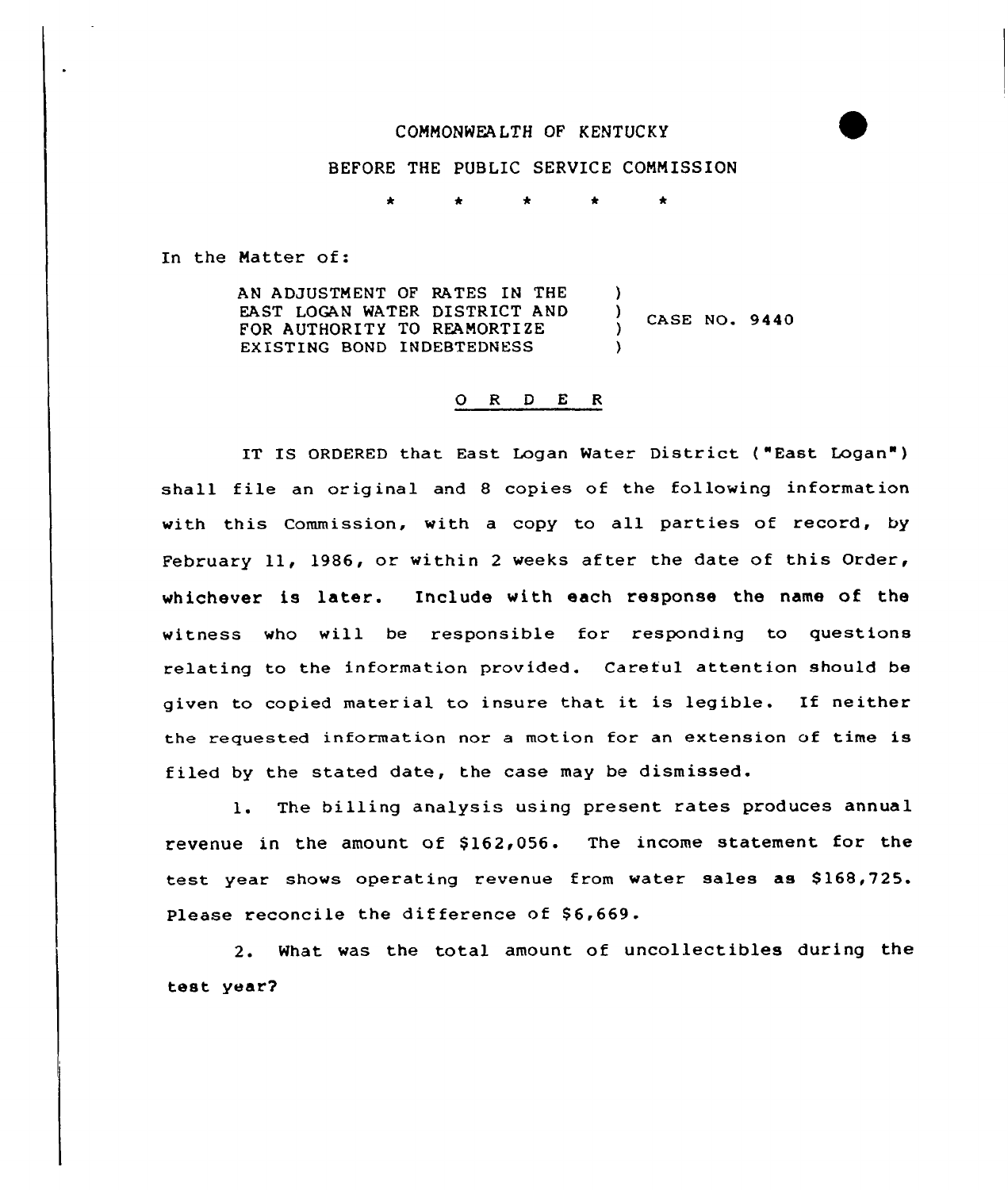## COMMONWEALTH OF KENTUCKY

## BEFORE THE PUBLIC SERVICE COMMISSION

 $\bullet$  $\bullet$  $\bullet$ 

In the Matter of:

AN ADJUSTMENT OF RATES IN THE EAST LOGAN WATER DISTRICT AND FOR AUTHORITY TO REAMORTIZE EXISTING BOND INDEBTEDNESS )  $\frac{1}{1}$  CASE NO. 9440 )

#### 0 <sup>R</sup> <sup>D</sup> E <sup>R</sup>

IT IS ORDERED that East Logan Water District ( "East Logan" ) shall file an original and <sup>8</sup> copies of the following information with this Commission, with a copy to all parties of record, by February 11, 1986, or within 2 weeks after the date of this Order, whichever is later. Include with each response the name of the witness who will be responsible for responding to questions relating to the information provided. Careful attention should be given to copied material to insure that it is legible. If neither the requested information nor a motion for an extension of time is f iled by the stated date, the case may be dismissed.

1. The billing analysis using present rates produces annual revenue in the amount of \$162,056. The income statement for the test year shows operating revenue from water sales as \$168,725. Please reconcile the difference of \$6,669.

2. What was the total amount of uncollectibles during the test year?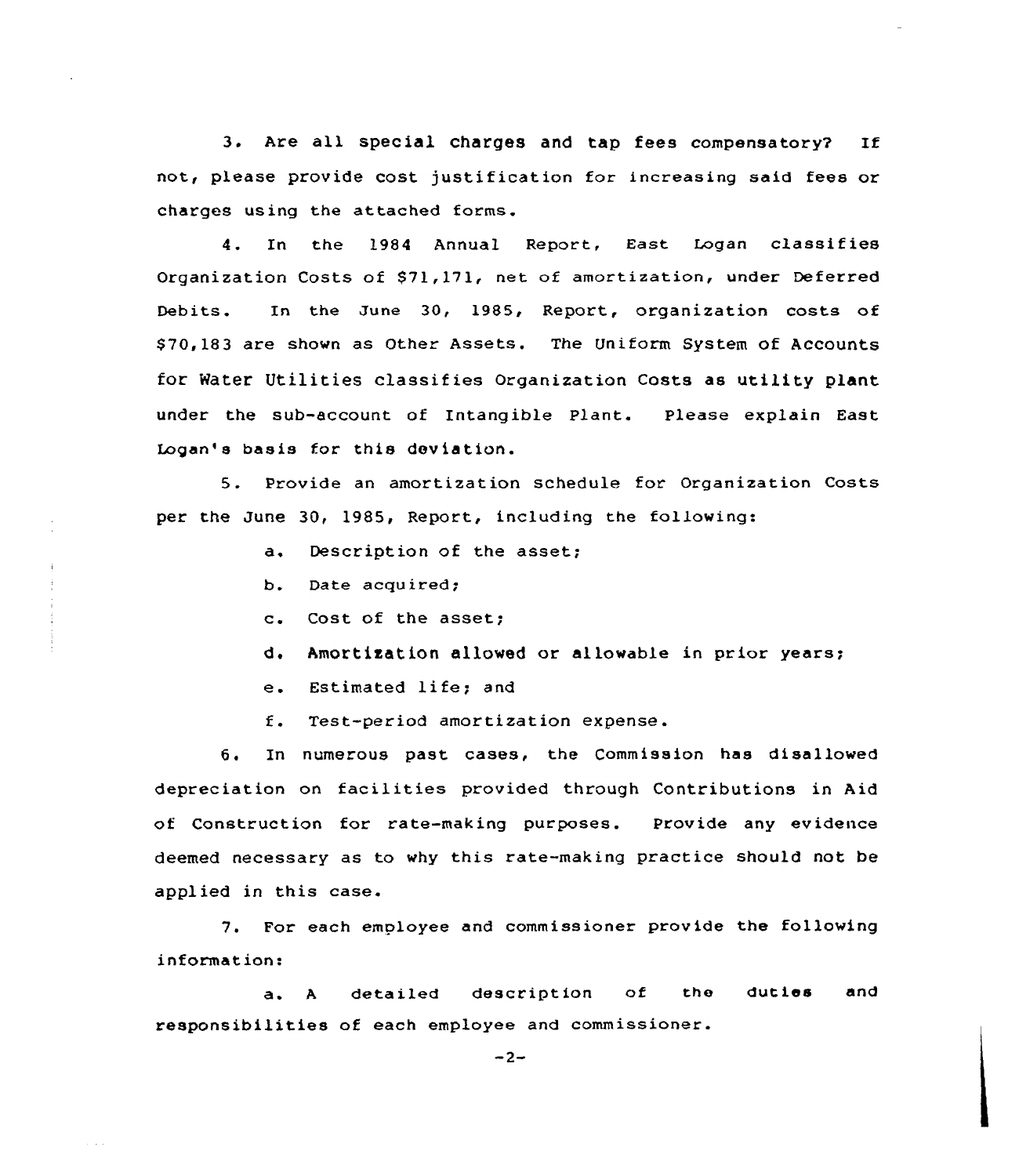3. Are all special charges and tap fees compensatory? If not, please provide cost justification for increasing said fees or charges using the attached forms.

4. In the 1984 Annual Report, East Logan classifies Organization Costs of \$71,171, net of amortization, under Deferred Debits. In the June 30, 1985, Report, organization costs of \$ 70,183 are shown as Other Assets. The Uniform System of Accounts for Water Utilities classifies Organization Costs as utility plant under the sub-account of Intangible Plant. Please explain East Logan's basis for this deviation.

S. Provide an amortization schedule for Organization Costs per the June 30, 1985, Report, including the following:

- a. Description of the asset;
- b. Date acquired;
- c. Cost of the asset;
- d. Amortization allowed or allowable in prior years;
- e. Estimated life; and
- f. Test-period amortization expense.

6. In numerous past cases, the Commission has disallowed depreciation on facilities provided through Contributions in Aid of Construction for rate-making purposes. Provide any evidence deemed necessary as to why this rate-making practice should not be applied in this case.

7. For each employee and commissioner provide the following information:

a. <sup>A</sup> detailed description of the duties and responsibilities of each employee and commissioner.

 $-2-$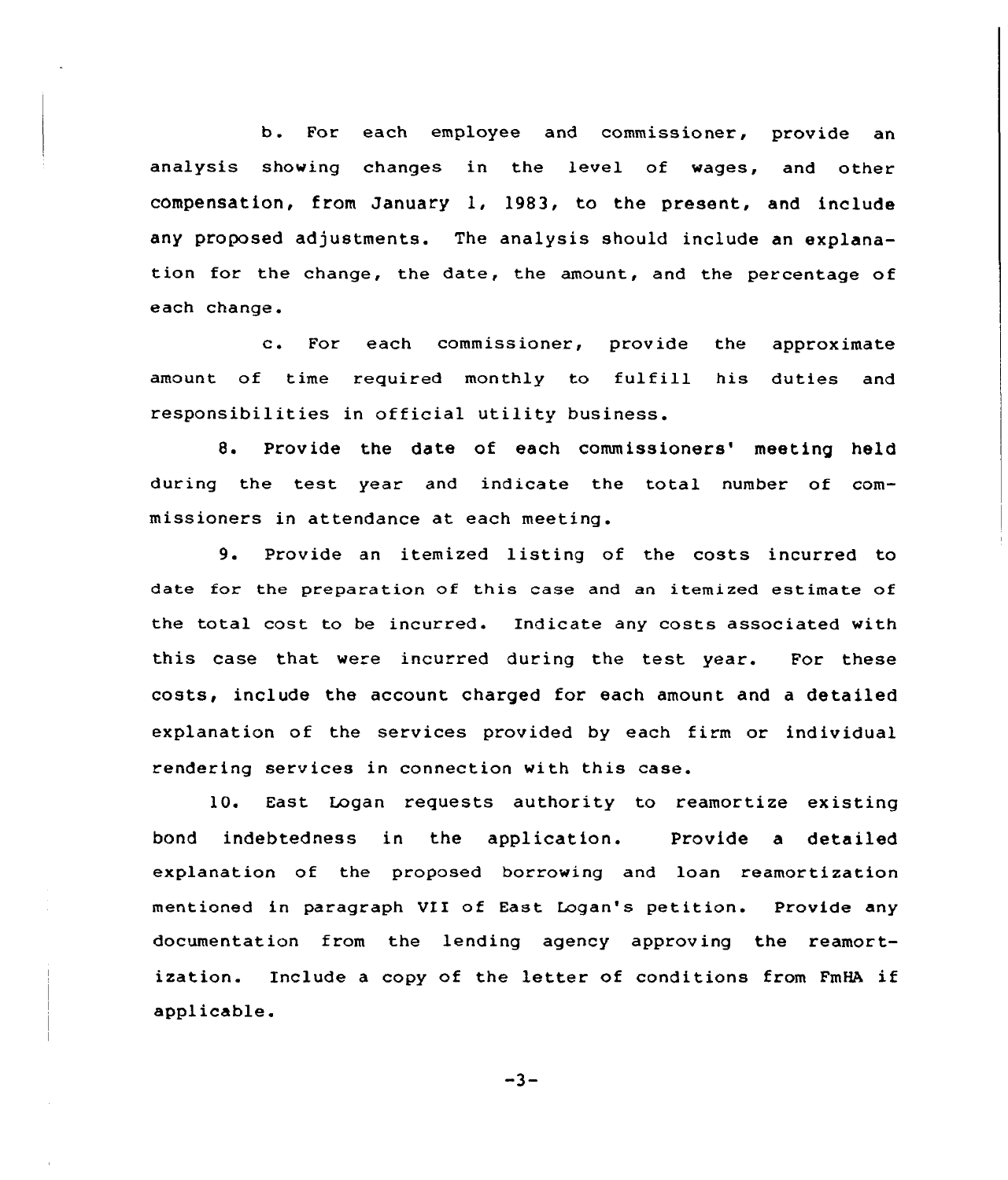b. For each employee and commissioner, provide an analysis showing changes in the level of wages, and other compensation, from January 1, 1983, to the present, and include any proposed adjustments. The analysis should include an explanation for the change, the date, the amount, and the percentage of each change.

c. For each commissioner, provide the approximate amount of time required monthly to fulfill his duties and responsibilities in official utility business.

8. Provide the date of each commissioners' meeting held during the test year and indicate the total number of commissioners in attendance at each meeting.

9. Provide an itemized listing of the costs incurred to date for the preparation of this case and an itemized estimate of the total cost to be incurred. Endicate any costs associated with this case that were incurred during the test year. For these costs, include the account charged for each amount and a detailed explanation of the services provided by each firm or individual rendering services in connection with this case.

10. East Logan requests authority to reamortize existing bond indebtedness in the application. Provide a detailed explanation of the proposed borrowing and loan reamortization mentioned in paragraph VII of East Logan's petition. Provide any documentation from the lending agency approving the reamortization. Include <sup>a</sup> copy of the letter of conditions from FmHA if applicable.

 $-3-$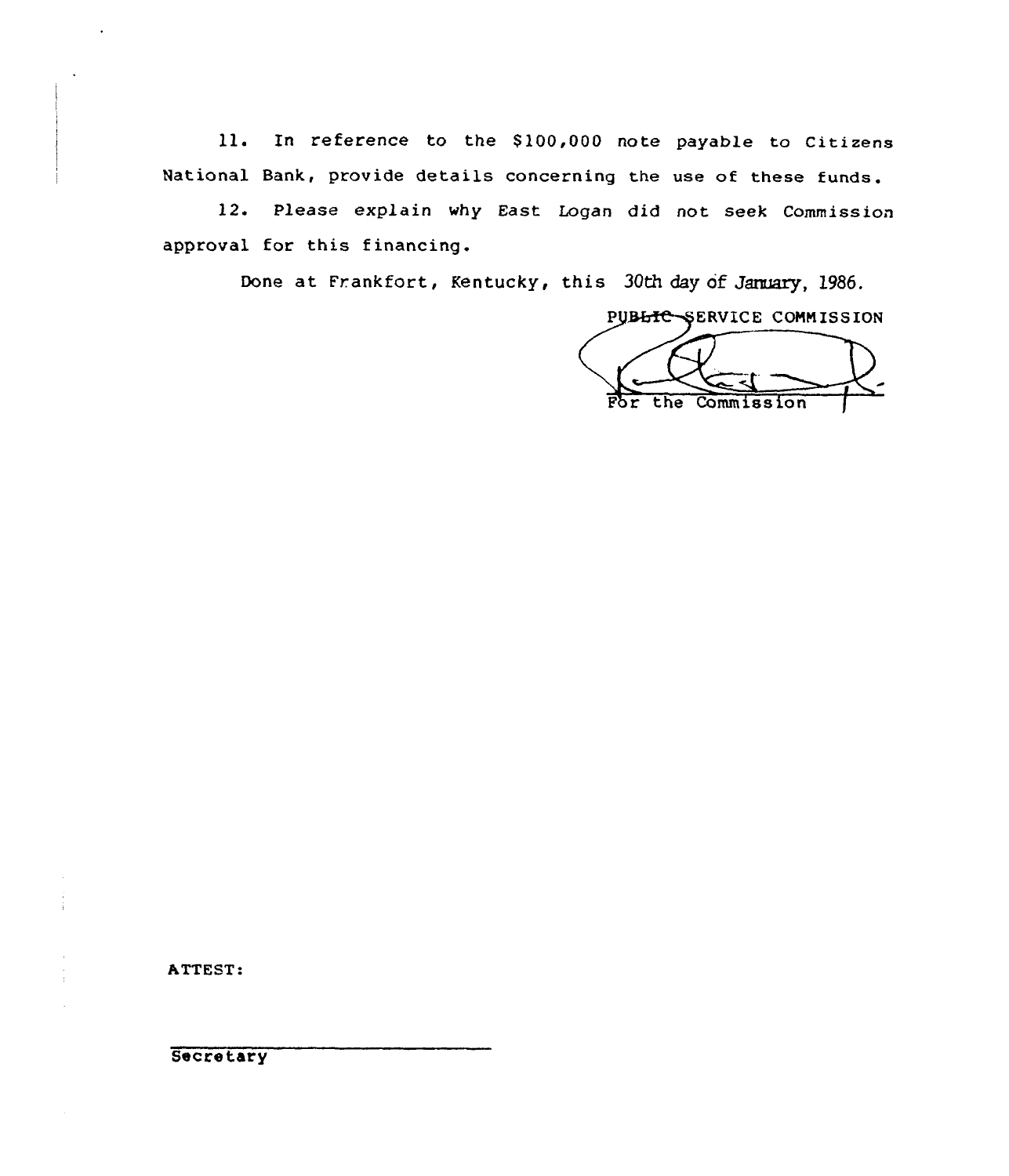ll. In reference to the \$100,000 note payable to Citizens National Bank, provide details concerning the use of these funds.

l2. Please explain why East Logan did not seek Commission approval for this financing.

Done at Frankfort, Kentucky, this 30th day of January, 1986.

PUBLIC-SERVICE COMMISSION For the Commission

ATTEST:

**Secretary**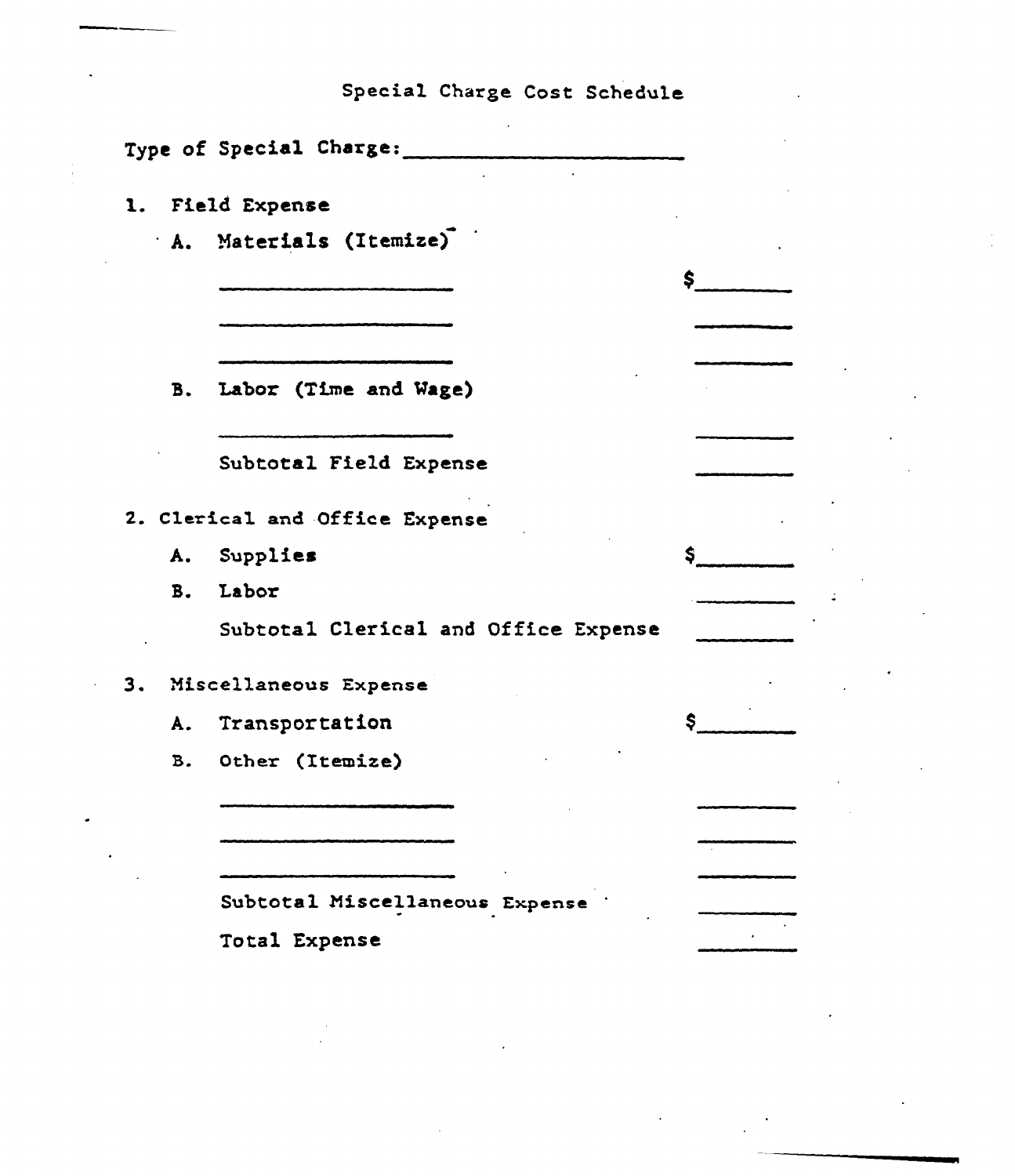Special Charge Cost Schedule

|                | Type of Special Charge:              |    |
|----------------|--------------------------------------|----|
| 1.             | Field Expense                        |    |
|                | A. Materials (Itemize)               |    |
|                |                                      | \$ |
|                |                                      |    |
| <b>B.</b>      | Labor (Time and Wage)                |    |
|                | Subtotal Field Expense               |    |
|                | 2. Clerical and Office Expense       |    |
|                | A. Supplies                          | \$ |
| B <sub>z</sub> | Labor                                |    |
|                | Subtotal Clerical and Office Expense |    |
| 3.             | Miscellaneous Expense                |    |
| A.             | Transportation                       | \$ |
| B.             | Other (Itemize)                      |    |
|                |                                      |    |
|                |                                      |    |
|                | Subtotal Miscellaneous Expense       |    |
|                | Total Expense                        |    |

 $\ddot{\phantom{a}}$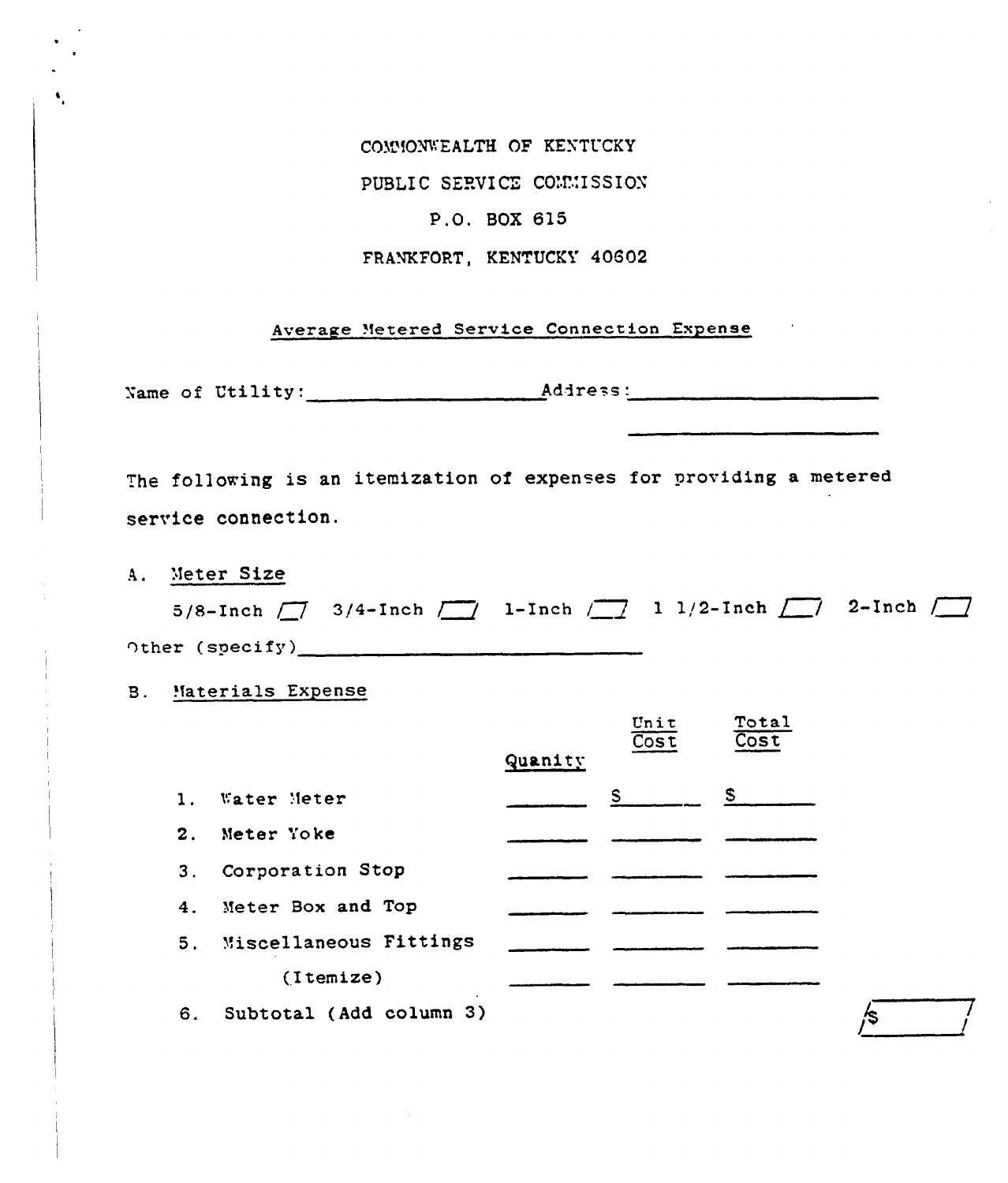COMMONWEALTH OF KENTUCKY PUBLIC SERVICE COMMISSION P.O. BOX 615 FRANKFORT, KENTUCKY 40602

Average Metered Service Connection Expense

The following is an itemization of expenses for providing a metered service connection.

A. Meter Size

|                 | 5/8-Inch $\boxed{7}$ 3/4-Inch $\boxed{7}$ 1-Inch $\boxed{7}$ 1 1/2-Inch $\boxed{7}$ 2-Inch $\boxed{7}$ |  |  |  |
|-----------------|--------------------------------------------------------------------------------------------------------|--|--|--|
| Other (specify) |                                                                                                        |  |  |  |

**B.** Materials Expense

|                |                         |         | Unit<br>$\overline{\text{Cost}}$ | Total<br>Cost |
|----------------|-------------------------|---------|----------------------------------|---------------|
|                |                         | Quanity |                                  |               |
| 1.             | Water Meter             |         | $S$ and $S$                      | S.            |
| $\mathbf{2}$ . | Meter Yoke              |         |                                  |               |
| 3.             | Corporation Stop        |         |                                  |               |
|                | 4. Meter Box and Top    |         |                                  |               |
| 5.             | Miscellaneous Fittings  |         |                                  |               |
|                | (Itemize)               |         |                                  |               |
| 6.             | Subtotal (Add column 3) |         |                                  |               |

∕\$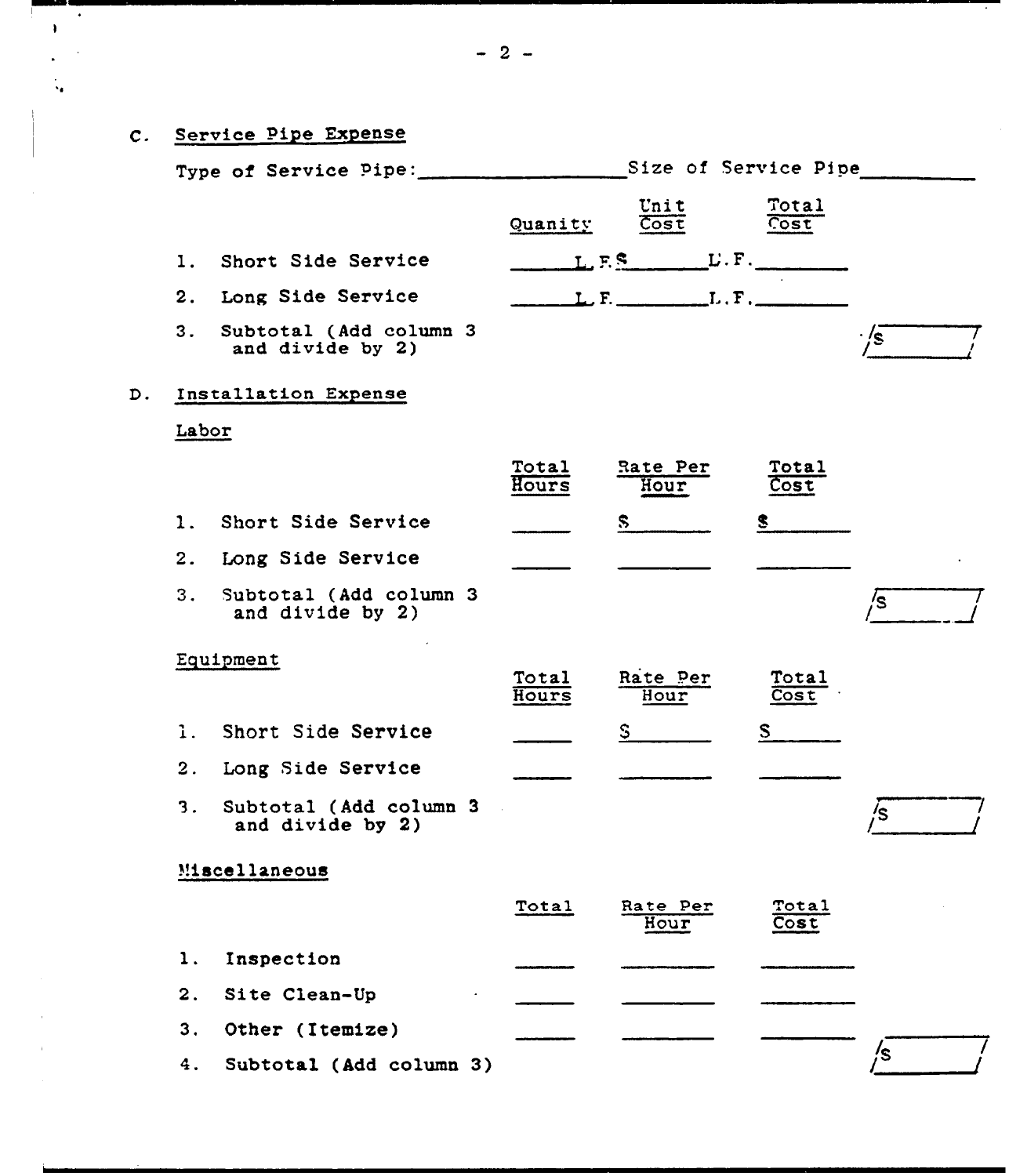# C. Service Pipe Expense

 $\bullet$  $\bullet$ 

ù.

|    |                |                                             | Type of Service Pipe: Size of Service Pipe |                                  |                      |     |
|----|----------------|---------------------------------------------|--------------------------------------------|----------------------------------|----------------------|-----|
|    |                |                                             | Quanity                                    | Unit<br>$\overline{\text{Cost}}$ | Total<br>Cost        |     |
|    | 1.             | Short Side Service                          |                                            |                                  |                      |     |
|    | 2.             | <b>Long Side Service</b>                    |                                            | $L, F,$ $L, F,$                  |                      |     |
|    | 3.             | Subtotal (Add column 3<br>and divide by 2)  |                                            |                                  |                      | ·/s |
| D. |                | Installation Expense                        |                                            |                                  |                      |     |
|    | Labor          |                                             |                                            |                                  |                      |     |
|    |                |                                             | Total<br>Hours                             | Rate Per<br>Hour                 | <b>Total</b><br>Cost |     |
|    | $\mathbf{1}$ . | Short Side Service                          |                                            | S.                               |                      |     |
|    |                | 2. Long Side Service                        |                                            |                                  |                      |     |
|    | 3.             | Subtotal (Add column 3<br>and divide by 2)  |                                            |                                  |                      | /s  |
|    |                | Equipment                                   | Total<br>Hours                             | Rate Per<br>Hour                 | Total<br>Cost        |     |
|    | 1.1            | Short Side Service                          |                                            | $\mathsf{S}$                     | S                    |     |
|    | 2.             | Long Side Service                           |                                            |                                  |                      |     |
|    | 3.             | Subtotal (Add column 3)<br>and divide by 2) |                                            |                                  |                      | /s  |
|    |                | Miscellaneous                               |                                            |                                  |                      |     |
|    |                |                                             | Total                                      | Rate Per<br>Hour                 | Total<br>Cost        |     |
|    | 1.             | Inspection                                  |                                            |                                  |                      |     |
|    | 2.             | Site Clean-Up                               |                                            |                                  |                      |     |
|    | 3.             | Other (Itemize)                             |                                            |                                  |                      |     |
|    | 4.             | Subtotal (Add column 3)                     |                                            |                                  |                      | /s  |